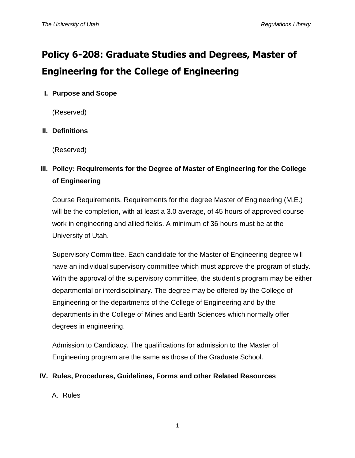# **Policy 6-208: Graduate Studies and Degrees, Master of Engineering for the College of Engineering**

## **I. Purpose and Scope**

(Reserved)

### **II. Definitions**

(Reserved)

# **III. Policy: Requirements for the Degree of Master of Engineering for the College of Engineering**

Course Requirements. Requirements for the degree Master of Engineering (M.E.) will be the completion, with at least a 3.0 average, of 45 hours of approved course work in engineering and allied fields. A minimum of 36 hours must be at the University of Utah.

Supervisory Committee. Each candidate for the Master of Engineering degree will have an individual supervisory committee which must approve the program of study. With the approval of the supervisory committee, the student's program may be either departmental or interdisciplinary. The degree may be offered by the College of Engineering or the departments of the College of Engineering and by the departments in the College of Mines and Earth Sciences which normally offer degrees in engineering.

Admission to Candidacy. The qualifications for admission to the Master of Engineering program are the same as those of the Graduate School.

#### **IV. Rules, Procedures, Guidelines, Forms and other Related Resources**

#### A. Rules